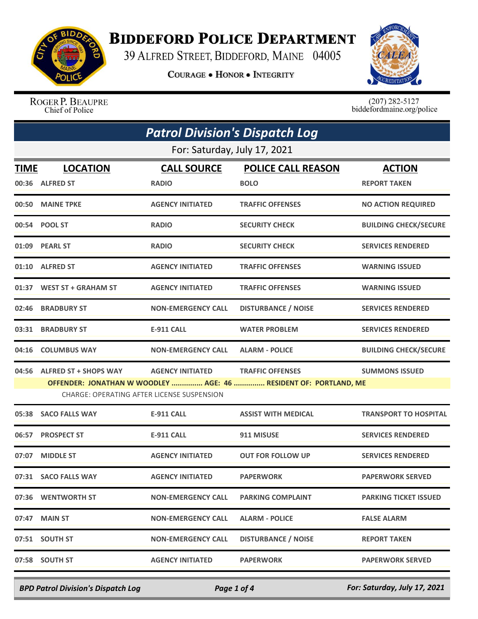

## **BIDDEFORD POLICE DEPARTMENT**

39 ALFRED STREET, BIDDEFORD, MAINE 04005

**COURAGE . HONOR . INTEGRITY** 



ROGER P. BEAUPRE Chief of Police

 $(207)$  282-5127<br>biddefordmaine.org/police

| <b>Patrol Division's Dispatch Log</b>             |                                    |                                          |                                                                  |
|---------------------------------------------------|------------------------------------|------------------------------------------|------------------------------------------------------------------|
| For: Saturday, July 17, 2021                      |                                    |                                          |                                                                  |
| <b>LOCATION</b><br><b>TIME</b><br>00:36 ALFRED ST | <b>CALL SOURCE</b><br><b>RADIO</b> | <b>POLICE CALL REASON</b><br><b>BOLO</b> | <b>ACTION</b><br><b>REPORT TAKEN</b>                             |
| 00:50 MAINE TPKE                                  | <b>AGENCY INITIATED</b>            | <b>TRAFFIC OFFENSES</b>                  | <b>NO ACTION REQUIRED</b>                                        |
| 00:54 POOL ST                                     | <b>RADIO</b>                       | <b>SECURITY CHECK</b>                    | <b>BUILDING CHECK/SECURE</b>                                     |
| 01:09 PEARL ST                                    | <b>RADIO</b>                       | <b>SECURITY CHECK</b>                    | <b>SERVICES RENDERED</b>                                         |
| 01:10 ALFRED ST                                   | <b>AGENCY INITIATED</b>            | <b>TRAFFIC OFFENSES</b>                  | <b>WARNING ISSUED</b>                                            |
| 01:37 WEST ST + GRAHAM ST                         | <b>AGENCY INITIATED</b>            | <b>TRAFFIC OFFENSES</b>                  | <b>WARNING ISSUED</b>                                            |
| 02:46 BRADBURY ST                                 | <b>NON-EMERGENCY CALL</b>          | <b>DISTURBANCE / NOISE</b>               | <b>SERVICES RENDERED</b>                                         |
| 03:31 BRADBURY ST                                 | <b>E-911 CALL</b>                  | <b>WATER PROBLEM</b>                     | <b>SERVICES RENDERED</b>                                         |
| <b>COLUMBUS WAY</b>                               | <b>NON-EMERGENCY CALL</b>          | <b>ALARM - POLICE</b>                    | <b>BUILDING CHECK/SECURE</b>                                     |
| 04:56 ALFRED ST + SHOPS WAY                       | <b>AGENCY INITIATED</b>            | <b>TRAFFIC OFFENSES</b>                  | <b>SUMMONS ISSUED</b>                                            |
| <b>CHARGE: OPERATING AFTER LICENSE SUSPENSION</b> |                                    |                                          |                                                                  |
| 05:38 SACO FALLS WAY                              | <b>E-911 CALL</b>                  | <b>ASSIST WITH MEDICAL</b>               | <b>TRANSPORT TO HOSPITAL</b>                                     |
| 06:57 PROSPECT ST                                 | <b>E-911 CALL</b>                  | 911 MISUSE                               | <b>SERVICES RENDERED</b>                                         |
| 07:07 MIDDLE ST                                   | <b>AGENCY INITIATED</b>            | <b>OUT FOR FOLLOW UP</b>                 | <b>SERVICES RENDERED</b>                                         |
| 07:31 SACO FALLS WAY                              | <b>AGENCY INITIATED</b>            | <b>PAPERWORK</b>                         | <b>PAPERWORK SERVED</b>                                          |
| 07:36 WENTWORTH ST                                | <b>NON-EMERGENCY CALL</b>          | <b>PARKING COMPLAINT</b>                 | <b>PARKING TICKET ISSUED</b>                                     |
| 07:47<br><b>MAIN ST</b>                           | <b>NON-EMERGENCY CALL</b>          | <b>ALARM - POLICE</b>                    | <b>FALSE ALARM</b>                                               |
| 07:51 SOUTH ST                                    | <b>NON-EMERGENCY CALL</b>          | <b>DISTURBANCE / NOISE</b>               | <b>REPORT TAKEN</b>                                              |
| 07:58 SOUTH ST                                    | <b>AGENCY INITIATED</b>            | <b>PAPERWORK</b>                         | <b>PAPERWORK SERVED</b>                                          |
|                                                   |                                    |                                          | OFFENDER: JONATHAN W WOODLEY  AGE: 46  RESIDENT OF: PORTLAND, ME |

*BPD Patrol Division's Dispatch Log Page 1 of 4 For: Saturday, July 17, 2021*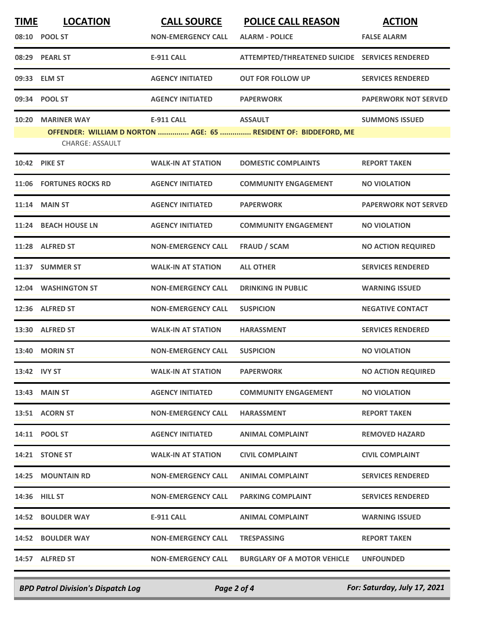| <b>TIME</b>  | <b>LOCATION</b>          | <b>CALL SOURCE</b>        | <b>POLICE CALL REASON</b>                                       | <b>ACTION</b>               |
|--------------|--------------------------|---------------------------|-----------------------------------------------------------------|-----------------------------|
|              | 08:10 POOL ST            | <b>NON-EMERGENCY CALL</b> | <b>ALARM - POLICE</b>                                           | <b>FALSE ALARM</b>          |
|              | 08:29 PEARL ST           | <b>E-911 CALL</b>         | ATTEMPTED/THREATENED SUICIDE SERVICES RENDERED                  |                             |
|              | 09:33 ELM ST             | <b>AGENCY INITIATED</b>   | <b>OUT FOR FOLLOW UP</b>                                        | <b>SERVICES RENDERED</b>    |
| 09:34        | <b>POOL ST</b>           | <b>AGENCY INITIATED</b>   | <b>PAPERWORK</b>                                                | <b>PAPERWORK NOT SERVED</b> |
| 10:20        | <b>MARINER WAY</b>       | <b>E-911 CALL</b>         | <b>ASSAULT</b>                                                  | <b>SUMMONS ISSUED</b>       |
|              | <b>CHARGE: ASSAULT</b>   |                           | OFFENDER: WILLIAM D NORTON  AGE: 65  RESIDENT OF: BIDDEFORD, ME |                             |
|              | <b>10:42 PIKE ST</b>     | <b>WALK-IN AT STATION</b> | <b>DOMESTIC COMPLAINTS</b>                                      | <b>REPORT TAKEN</b>         |
| 11:06        | <b>FORTUNES ROCKS RD</b> | <b>AGENCY INITIATED</b>   | <b>COMMUNITY ENGAGEMENT</b>                                     | <b>NO VIOLATION</b>         |
| 11:14        | <b>MAIN ST</b>           | <b>AGENCY INITIATED</b>   | <b>PAPERWORK</b>                                                | <b>PAPERWORK NOT SERVED</b> |
| 11:24        | <b>BEACH HOUSE LN</b>    | <b>AGENCY INITIATED</b>   | <b>COMMUNITY ENGAGEMENT</b>                                     | <b>NO VIOLATION</b>         |
|              | 11:28 ALFRED ST          | <b>NON-EMERGENCY CALL</b> | <b>FRAUD / SCAM</b>                                             | <b>NO ACTION REQUIRED</b>   |
| 11:37        | <b>SUMMER ST</b>         | <b>WALK-IN AT STATION</b> | <b>ALL OTHER</b>                                                | <b>SERVICES RENDERED</b>    |
| 12:04        | <b>WASHINGTON ST</b>     | <b>NON-EMERGENCY CALL</b> | <b>DRINKING IN PUBLIC</b>                                       | <b>WARNING ISSUED</b>       |
|              | 12:36 ALFRED ST          | <b>NON-EMERGENCY CALL</b> | <b>SUSPICION</b>                                                | <b>NEGATIVE CONTACT</b>     |
| 13:30        | <b>ALFRED ST</b>         | <b>WALK-IN AT STATION</b> | <b>HARASSMENT</b>                                               | <b>SERVICES RENDERED</b>    |
| 13:40        | <b>MORIN ST</b>          | <b>NON-EMERGENCY CALL</b> | <b>SUSPICION</b>                                                | <b>NO VIOLATION</b>         |
| 13:42 IVY ST |                          | <b>WALK-IN AT STATION</b> | <b>PAPERWORK</b>                                                | <b>NO ACTION REQUIRED</b>   |
|              | 13:43 MAIN ST            | <b>AGENCY INITIATED</b>   | <b>COMMUNITY ENGAGEMENT</b>                                     | <b>NO VIOLATION</b>         |
|              | 13:51 ACORN ST           | <b>NON-EMERGENCY CALL</b> | <b>HARASSMENT</b>                                               | <b>REPORT TAKEN</b>         |
|              | 14:11 POOL ST            | <b>AGENCY INITIATED</b>   | <b>ANIMAL COMPLAINT</b>                                         | <b>REMOVED HAZARD</b>       |
|              | 14:21 STONE ST           | <b>WALK-IN AT STATION</b> | <b>CIVIL COMPLAINT</b>                                          | <b>CIVIL COMPLAINT</b>      |
|              | <b>14:25 MOUNTAIN RD</b> | <b>NON-EMERGENCY CALL</b> | <b>ANIMAL COMPLAINT</b>                                         | <b>SERVICES RENDERED</b>    |
|              | 14:36 HILL ST            | <b>NON-EMERGENCY CALL</b> | <b>PARKING COMPLAINT</b>                                        | <b>SERVICES RENDERED</b>    |
|              | 14:52 BOULDER WAY        | E-911 CALL                | <b>ANIMAL COMPLAINT</b>                                         | <b>WARNING ISSUED</b>       |
|              | 14:52 BOULDER WAY        | <b>NON-EMERGENCY CALL</b> | <b>TRESPASSING</b>                                              | <b>REPORT TAKEN</b>         |
|              | 14:57 ALFRED ST          | <b>NON-EMERGENCY CALL</b> | <b>BURGLARY OF A MOTOR VEHICLE</b>                              | <b>UNFOUNDED</b>            |

*BPD Patrol Division's Dispatch Log Page 2 of 4 For: Saturday, July 17, 2021*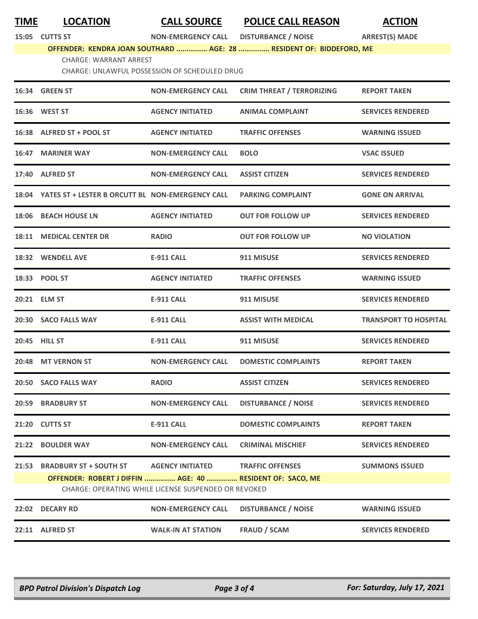**15:05 CUTTS ST NON-EMERGENCY CALL DISTURBANCE / NOISE ARREST(S) MADE**

## **OFFENDER: KENDRA JOAN SOUTHARD ............... AGE: 28 ............... RESIDENT OF: BIDDEFORD, ME** CHARGE: WARRANT ARREST

CHARGE: UNLAWFUL POSSESSION OF SCHEDULED DRUG

|       | 16:34 GREEN ST                                                                                                    | <b>NON-EMERGENCY CALL</b> | <b>CRIM THREAT / TERRORIZING</b> | <b>REPORT TAKEN</b>          |
|-------|-------------------------------------------------------------------------------------------------------------------|---------------------------|----------------------------------|------------------------------|
|       | 16:36 WEST ST                                                                                                     | <b>AGENCY INITIATED</b>   | <b>ANIMAL COMPLAINT</b>          | <b>SERVICES RENDERED</b>     |
|       | 16:38 ALFRED ST + POOL ST                                                                                         | <b>AGENCY INITIATED</b>   | <b>TRAFFIC OFFENSES</b>          | <b>WARNING ISSUED</b>        |
|       | 16:47 MARINER WAY                                                                                                 | <b>NON-EMERGENCY CALL</b> | <b>BOLO</b>                      | <b>VSAC ISSUED</b>           |
|       | 17:40 ALFRED ST                                                                                                   | <b>NON-EMERGENCY CALL</b> | <b>ASSIST CITIZEN</b>            | <b>SERVICES RENDERED</b>     |
|       | 18:04 YATES ST + LESTER B ORCUTT BL NON-EMERGENCY CALL                                                            |                           | <b>PARKING COMPLAINT</b>         | <b>GONE ON ARRIVAL</b>       |
|       | 18:06 BEACH HOUSE LN                                                                                              | <b>AGENCY INITIATED</b>   | <b>OUT FOR FOLLOW UP</b>         | <b>SERVICES RENDERED</b>     |
|       | 18:11 MEDICAL CENTER DR                                                                                           | <b>RADIO</b>              | <b>OUT FOR FOLLOW UP</b>         | <b>NO VIOLATION</b>          |
|       | 18:32 WENDELL AVE                                                                                                 | <b>E-911 CALL</b>         | 911 MISUSE                       | <b>SERVICES RENDERED</b>     |
|       | 18:33 POOL ST                                                                                                     | <b>AGENCY INITIATED</b>   | <b>TRAFFIC OFFENSES</b>          | <b>WARNING ISSUED</b>        |
|       | 20:21 ELM ST                                                                                                      | <b>E-911 CALL</b>         | 911 MISUSE                       | <b>SERVICES RENDERED</b>     |
|       | 20:30 SACO FALLS WAY                                                                                              | <b>E-911 CALL</b>         | <b>ASSIST WITH MEDICAL</b>       | <b>TRANSPORT TO HOSPITAL</b> |
|       | 20:45 HILL ST                                                                                                     | <b>E-911 CALL</b>         | 911 MISUSE                       | <b>SERVICES RENDERED</b>     |
| 20:48 | <b>MT VERNON ST</b>                                                                                               | <b>NON-EMERGENCY CALL</b> | <b>DOMESTIC COMPLAINTS</b>       | <b>REPORT TAKEN</b>          |
|       | 20:50 SACO FALLS WAY                                                                                              | <b>RADIO</b>              | <b>ASSIST CITIZEN</b>            | <b>SERVICES RENDERED</b>     |
| 20:59 | <b>BRADBURY ST</b>                                                                                                | <b>NON-EMERGENCY CALL</b> | <b>DISTURBANCE / NOISE</b>       | <b>SERVICES RENDERED</b>     |
|       | 21:20 CUTTS ST                                                                                                    | <b>E-911 CALL</b>         | <b>DOMESTIC COMPLAINTS</b>       | <b>REPORT TAKEN</b>          |
|       | 21:22 BOULDER WAY                                                                                                 | <b>NON-EMERGENCY CALL</b> | <b>CRIMINAL MISCHIEF</b>         | <b>SERVICES RENDERED</b>     |
| 21:53 | <b>BRADBURY ST + SOUTH ST</b>                                                                                     | <b>AGENCY INITIATED</b>   | <b>TRAFFIC OFFENSES</b>          | <b>SUMMONS ISSUED</b>        |
|       | OFFENDER: ROBERT J DIFFIN  AGE: 40  RESIDENT OF: SACO, ME<br>CHARGE: OPERATING WHILE LICENSE SUSPENDED OR REVOKED |                           |                                  |                              |
|       | 22:02 DECARY RD                                                                                                   | <b>NON-EMERGENCY CALL</b> | <b>DISTURBANCE / NOISE</b>       | <b>WARNING ISSUED</b>        |
| 22:11 | <b>ALFRED ST</b>                                                                                                  | <b>WALK-IN AT STATION</b> | <b>FRAUD / SCAM</b>              | <b>SERVICES RENDERED</b>     |